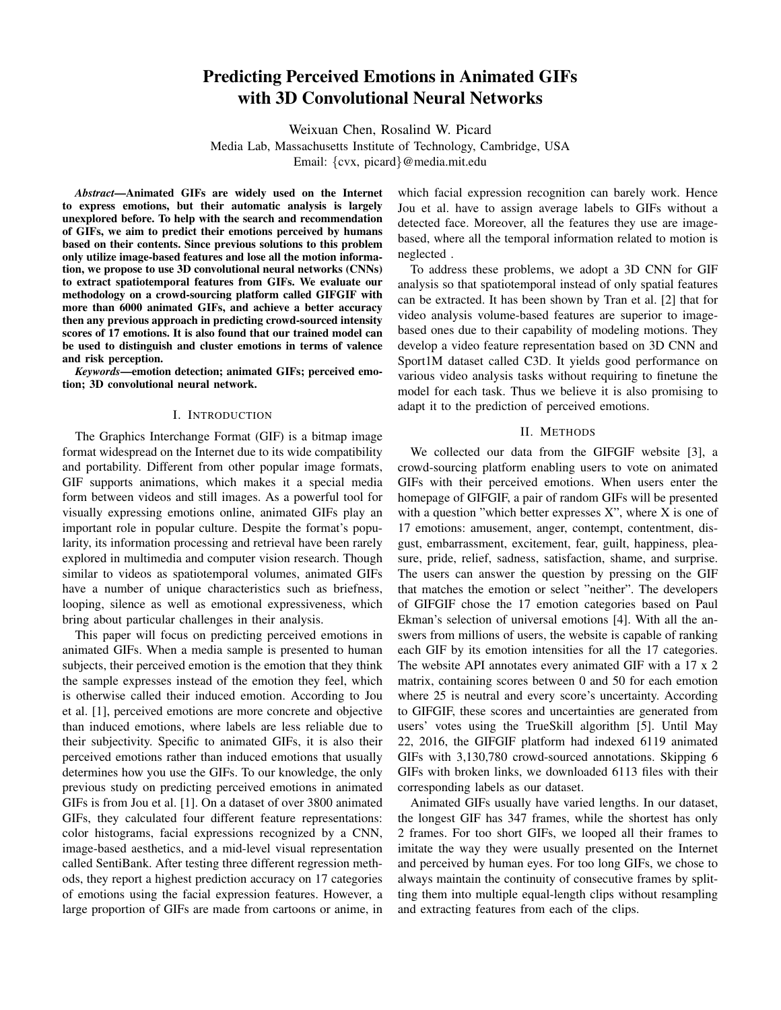# Predicting Perceived Emotions in Animated GIFs with 3D Convolutional Neural Networks

Weixuan Chen, Rosalind W. Picard

Media Lab, Massachusetts Institute of Technology, Cambridge, USA

Email: {cvx, picard}@media.mit.edu

*Abstract*—Animated GIFs are widely used on the Internet to express emotions, but their automatic analysis is largely unexplored before. To help with the search and recommendation of GIFs, we aim to predict their emotions perceived by humans based on their contents. Since previous solutions to this problem only utilize image-based features and lose all the motion information, we propose to use 3D convolutional neural networks (CNNs) to extract spatiotemporal features from GIFs. We evaluate our methodology on a crowd-sourcing platform called GIFGIF with more than 6000 animated GIFs, and achieve a better accuracy then any previous approach in predicting crowd-sourced intensity scores of 17 emotions. It is also found that our trained model can be used to distinguish and cluster emotions in terms of valence and risk perception.

*Keywords*—emotion detection; animated GIFs; perceived emotion; 3D convolutional neural network.

### I. INTRODUCTION

The Graphics Interchange Format (GIF) is a bitmap image format widespread on the Internet due to its wide compatibility and portability. Different from other popular image formats, GIF supports animations, which makes it a special media form between videos and still images. As a powerful tool for visually expressing emotions online, animated GIFs play an important role in popular culture. Despite the format's popularity, its information processing and retrieval have been rarely explored in multimedia and computer vision research. Though similar to videos as spatiotemporal volumes, animated GIFs have a number of unique characteristics such as briefness, looping, silence as well as emotional expressiveness, which bring about particular challenges in their analysis.

This paper will focus on predicting perceived emotions in animated GIFs. When a media sample is presented to human subjects, their perceived emotion is the emotion that they think the sample expresses instead of the emotion they feel, which is otherwise called their induced emotion. According to Jou et al. [1], perceived emotions are more concrete and objective than induced emotions, where labels are less reliable due to their subjectivity. Specific to animated GIFs, it is also their perceived emotions rather than induced emotions that usually determines how you use the GIFs. To our knowledge, the only previous study on predicting perceived emotions in animated GIFs is from Jou et al. [1]. On a dataset of over 3800 animated GIFs, they calculated four different feature representations: color histograms, facial expressions recognized by a CNN, image-based aesthetics, and a mid-level visual representation called SentiBank. After testing three different regression methods, they report a highest prediction accuracy on 17 categories of emotions using the facial expression features. However, a large proportion of GIFs are made from cartoons or anime, in which facial expression recognition can barely work. Hence Jou et al. have to assign average labels to GIFs without a detected face. Moreover, all the features they use are imagebased, where all the temporal information related to motion is neglected .

To address these problems, we adopt a 3D CNN for GIF analysis so that spatiotemporal instead of only spatial features can be extracted. It has been shown by Tran et al. [2] that for video analysis volume-based features are superior to imagebased ones due to their capability of modeling motions. They develop a video feature representation based on 3D CNN and Sport1M dataset called C3D. It yields good performance on various video analysis tasks without requiring to finetune the model for each task. Thus we believe it is also promising to adapt it to the prediction of perceived emotions.

#### II. METHODS

We collected our data from the GIFGIF website [3], a crowd-sourcing platform enabling users to vote on animated GIFs with their perceived emotions. When users enter the homepage of GIFGIF, a pair of random GIFs will be presented with a question "which better expresses  $X$ ", where  $X$  is one of 17 emotions: amusement, anger, contempt, contentment, disgust, embarrassment, excitement, fear, guilt, happiness, pleasure, pride, relief, sadness, satisfaction, shame, and surprise. The users can answer the question by pressing on the GIF that matches the emotion or select "neither". The developers of GIFGIF chose the 17 emotion categories based on Paul Ekman's selection of universal emotions [4]. With all the answers from millions of users, the website is capable of ranking each GIF by its emotion intensities for all the 17 categories. The website API annotates every animated GIF with a 17 x 2 matrix, containing scores between 0 and 50 for each emotion where 25 is neutral and every score's uncertainty. According to GIFGIF, these scores and uncertainties are generated from users' votes using the TrueSkill algorithm [5]. Until May 22, 2016, the GIFGIF platform had indexed 6119 animated GIFs with 3,130,780 crowd-sourced annotations. Skipping 6 GIFs with broken links, we downloaded 6113 files with their corresponding labels as our dataset.

Animated GIFs usually have varied lengths. In our dataset, the longest GIF has 347 frames, while the shortest has only 2 frames. For too short GIFs, we looped all their frames to imitate the way they were usually presented on the Internet and perceived by human eyes. For too long GIFs, we chose to always maintain the continuity of consecutive frames by splitting them into multiple equal-length clips without resampling and extracting features from each of the clips.